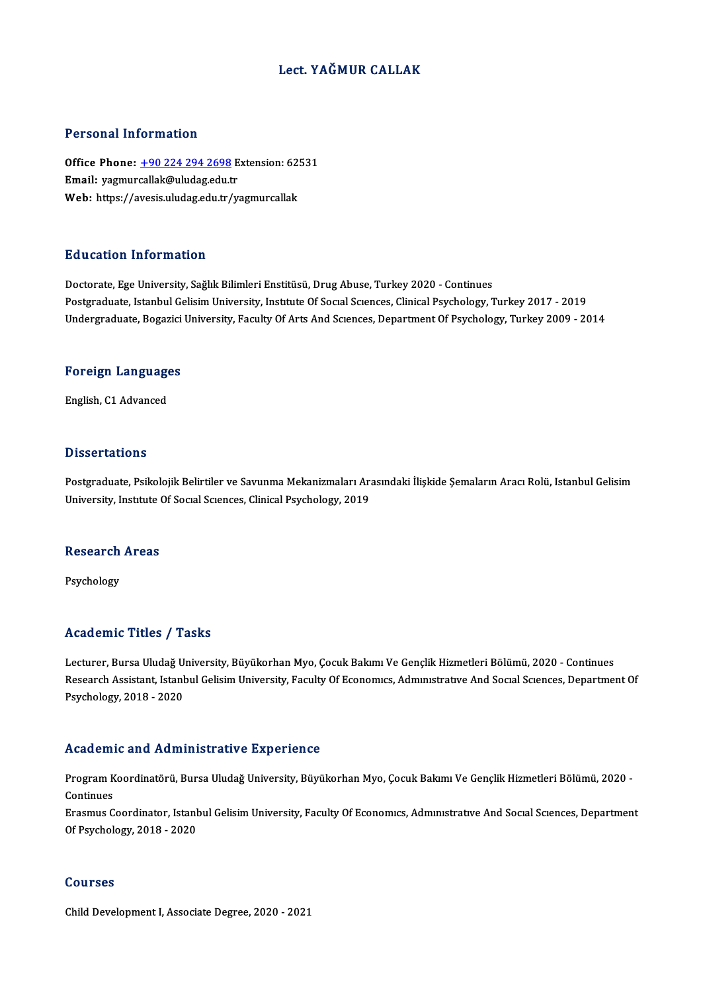### Lect. YAĞMUR CALLAK

### Personal Information

Personal Information<br>Office Phone: <u>+90 224 294 2698</u> Extension: 62531<br>Email: warmurcallak@uludag.odu.tr Procession Internation<br>Office Phone: <u>+90 224 294 2698</u> E<br>Email: yagmurcallak@uludag.edu.tr Office Phone: <u>+90 224 294 2698</u> Extension: 62!<br>Email: yagmurcallak@uludag.edu.tr<br>Web: https://avesis.uludag.edu.tr/yagmurcallak Web: https://avesis.uludag.edu.tr/yagmurcallak<br>Education Information

Doctorate, Ege University, Sağlık Bilimleri Enstitüsü, Drug Abuse, Turkey 2020 - Continues Postgraduate, Istanbul Gelisim University, Institute Of Social Sciences, Clinical Psychology, Turkey 2017 - 2019 Undergraduate, Bogazici University, Faculty Of Arts And Sciences, Department Of Psychology, Turkey 2009 - 2014

## <sub>ondergraduate, bogazici<br>Foreign Languages</sub> <mark>Foreign Languag</mark>e<br>English, C1 Advanced

English, C1 Advanced<br>Dissertations

Dissertations<br>Postgraduate, Psikolojik Belirtiler ve Savunma Mekanizmaları Arasındaki İlişkide Şemaların Aracı Rolü, Istanbul Gelisim<br>University Jastıtute Of Secral Scrances, Clinical Bayebology, 2019 D 19991 tatrome<br>Postgraduate, Psikolojik Belirtiler ve Savunma Mekanizmaları Ar:<br>University, Institute Of Social Sciences, Clinical Psychology, 2019

## oniversity, insulute (<br>Research Areas Re<mark>search</mark><br>Psychology

# Psychology<br>Academic Titles / Tasks

Academic Titles / Tasks<br>Lecturer, Bursa Uludağ University, Büyükorhan Myo, Çocuk Bakımı Ve Gençlik Hizmetleri Bölümü, 2020 - Continues<br>Researsh Assistant Jatanbul Colisim University, Fasulty Of Esenemys, Admustratyye And S Research Assistant, Istanbul Gelisim University, Faculty Of Economics, Administrative And Social Sciences, Department Of<br>Psychology, 2018 - 2020 Lecturer, Bursa Uludağ U<br>Research Assistant, Istanl<br>Psychology, 2018 - 2020

### Academic and Administrative Experience

**Academic and Administrative Experience**<br>Program Koordinatörü, Bursa Uludağ University, Büyükorhan Myo, Çocuk Bakımı Ve Gençlik Hizmetleri Bölümü, 2020 -Program K<br>Program K<br>Ensemue C Program Koordinatörü, Bursa Uludağ University, Büyükorhan Myo, Çocuk Bakımı Ve Gençlik Hizmetleri Bölümü, 2020<br>Continues<br>Erasmus Coordinator, Istanbul Gelisim University, Faculty Of Economıcs, Admınıstratıve And Socıal Scı

Continues<br>Erasmus Coordinator, Istanbul Gelisim University, Faculty Of Economics, Administrative And Social Sciences, Department<br>Of Psychology, 2018 - 2020

### Courses

Child Development I, Associate Degree, 2020 - 2021